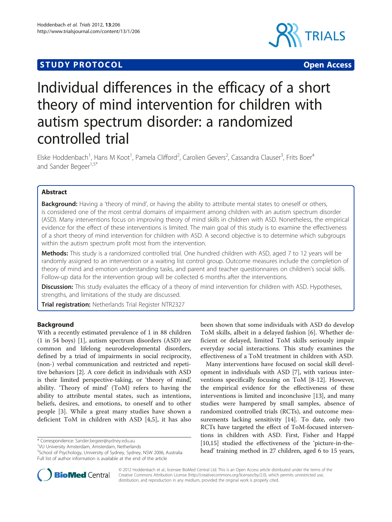## **STUDY PROTOCOL CONSUMING THE CONSUMING OPEN ACCESS**



# Individual differences in the efficacy of a short theory of mind intervention for children with autism spectrum disorder: a randomized controlled trial

Elske Hoddenbach<sup>1</sup>, Hans M Koot<sup>1</sup>, Pamela Clifford<sup>2</sup>, Carolien Gevers<sup>2</sup>, Cassandra Clauser<sup>3</sup>, Frits Boer<sup>4</sup> and Sander Begeer<sup>1,5\*</sup>

## Abstract

Background: Having a 'theory of mind', or having the ability to attribute mental states to oneself or others, is considered one of the most central domains of impairment among children with an autism spectrum disorder (ASD). Many interventions focus on improving theory of mind skills in children with ASD. Nonetheless, the empirical evidence for the effect of these interventions is limited. The main goal of this study is to examine the effectiveness of a short theory of mind intervention for children with ASD. A second objective is to determine which subgroups within the autism spectrum profit most from the intervention.

Methods: This study is a randomized controlled trial. One hundred children with ASD, aged 7 to 12 years will be randomly assigned to an intervention or a waiting list control group. Outcome measures include the completion of theory of mind and emotion understanding tasks, and parent and teacher questionnaires on children's social skills. Follow-up data for the intervention group will be collected 6 months after the interventions.

Discussion: This study evaluates the efficacy of a theory of mind intervention for children with ASD. Hypotheses, strengths, and limitations of the study are discussed.

**Trial registration: Netherlands Trial Register NTR2327** 

## Background

With a recently estimated prevalence of 1 in 88 children (1 in 54 boys) [\[1](#page-5-0)], autism spectrum disorders (ASD) are common and lifelong neurodevelopmental disorders, defined by a triad of impairments in social reciprocity, (non-) verbal communication and restricted and repetitive behaviors [[2](#page-5-0)]. A core deficit in individuals with ASD is their limited perspective-taking, or 'theory of mind', ability. 'Theory of mind' (ToM) refers to having the ability to attribute mental states, such as intentions, beliefs, desires, and emotions, to oneself and to other people [[3\]](#page-5-0). While a great many studies have shown a deficient ToM in children with ASD [[4,5\]](#page-5-0), it has also

\* Correspondence: [Sander.begeer@sydney.edu.au](mailto:Sander.begeer@sydney.edu.au) <sup>1</sup>

5 School of Psychology, University of Sydney, Sydney, NSW 2006, Australia Full list of author information is available at the end of the article

been shown that some individuals with ASD do develop ToM skills, albeit in a delayed fashion [\[6](#page-5-0)]. Whether deficient or delayed, limited ToM skills seriously impair everyday social interactions. This study examines the effectiveness of a ToM treatment in children with ASD.

Many interventions have focused on social skill development in individuals with ASD [\[7](#page-5-0)], with various interventions specifically focusing on ToM [[8-12](#page-5-0)]. However, the empirical evidence for the effectiveness of these interventions is limited and inconclusive [\[13](#page-5-0)], and many studies were hampered by small samples, absence of randomized controlled trials (RCTs), and outcome measurements lacking sensitivity [[14\]](#page-5-0). To date, only two RCTs have targeted the effect of ToM-focused interventions in children with ASD. First, Fisher and Happé [[10,15\]](#page-5-0) studied the effectiveness of the 'picture-in-thehead' training method in 27 children, aged 6 to 15 years,



© 2012 Hoddenbach et al.; licensee BioMed Central Ltd. This is an Open Access article distributed under the terms of the Creative Commons Attribution License (<http://creativecommons.org/licenses/by/2.0>), which permits unrestricted use, distribution, and reproduction in any medium, provided the original work is properly cited.

VU University Amsterdam, Amsterdam, Netherlands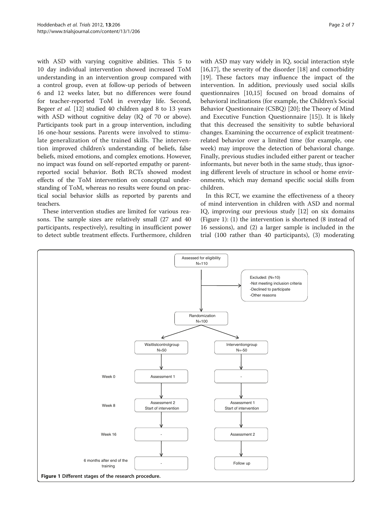with ASD with varying cognitive abilities. This 5 to 10 day individual intervention showed increased ToM understanding in an intervention group compared with a control group, even at follow-up periods of between 6 and 12 weeks later, but no differences were found for teacher-reported ToM in everyday life. Second, Begeer et al. [\[12\]](#page-5-0) studied 40 children aged 8 to 13 years with ASD without cognitive delay (IQ of 70 or above). Participants took part in a group intervention, including 16 one-hour sessions. Parents were involved to stimulate generalization of the trained skills. The intervention improved children's understanding of beliefs, false beliefs, mixed emotions, and complex emotions. However, no impact was found on self-reported empathy or parentreported social behavior. Both RCTs showed modest effects of the ToM intervention on conceptual understanding of ToM, whereas no results were found on practical social behavior skills as reported by parents and teachers.

These intervention studies are limited for various reasons. The sample sizes are relatively small (27 and 40 participants, respectively), resulting in insufficient power to detect subtle treatment effects. Furthermore, children

with ASD may vary widely in IQ, social interaction style [[16,17\]](#page-5-0), the severity of the disorder [[18\]](#page-5-0) and comorbidity [[19\]](#page-5-0). These factors may influence the impact of the intervention. In addition, previously used social skills questionnaires [[10](#page-5-0),[15](#page-5-0)] focused on broad domains of behavioral inclinations (for example, the Children's Social Behavior Questionnaire (CSBQ) [[20\]](#page-6-0); the Theory of Mind and Executive Function Questionnaire [\[15](#page-5-0)]). It is likely that this decreased the sensitivity to subtle behavioral changes. Examining the occurrence of explicit treatmentrelated behavior over a limited time (for example, one week) may improve the detection of behavioral change. Finally, previous studies included either parent or teacher informants, but never both in the same study, thus ignoring different levels of structure in school or home environments, which may demand specific social skills from children.

In this RCT, we examine the effectiveness of a theory of mind intervention in children with ASD and normal IQ, improving our previous study [[12\]](#page-5-0) on six domains (Figure 1): (1) the intervention is shortened (8 instead of 16 sessions), and (2) a larger sample is included in the trial (100 rather than 40 participants), (3) moderating

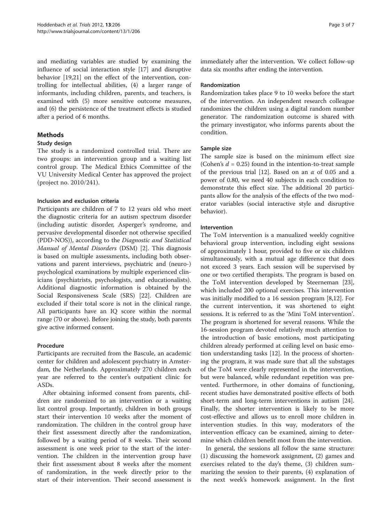and mediating variables are studied by examining the influence of social interaction style [\[17\]](#page-5-0) and disruptive behavior [\[19,](#page-5-0)[21\]](#page-6-0) on the effect of the intervention, controlling for intellectual abilities, (4) a larger range of informants, including children, parents, and teachers, is examined with (5) more sensitive outcome measures, and (6) the persistence of the treatment effects is studied after a period of 6 months.

## Methods

#### Study design

The study is a randomized controlled trial. There are two groups: an intervention group and a waiting list control group. The Medical Ethics Committee of the VU University Medical Center has approved the project (project no. 2010/241).

#### Inclusion and exclusion criteria

Participants are children of 7 to 12 years old who meet the diagnostic criteria for an autism spectrum disorder (including autistic disorder, Asperger's syndrome, and pervasive developmental disorder not otherwise specified (PDD-NOS)), according to the Diagnostic and Statistical Manual of Mental Disorders (DSM) [\[2](#page-5-0)]. This diagnosis is based on multiple assessments, including both observations and parent interviews, psychiatric and (neuro-) psychological examinations by multiple experienced clinicians (psychiatrists, psychologists, and educationalists). Additional diagnostic information is obtained by the Social Responsiveness Scale (SRS) [[22\]](#page-6-0). Children are excluded if their total score is not in the clinical range. All participants have an IQ score within the normal range (70 or above). Before joining the study, both parents give active informed consent.

#### Procedure

Participants are recruited from the Bascule, an academic center for children and adolescent psychiatry in Amsterdam, the Netherlands. Approximately 270 children each year are referred to the center's outpatient clinic for ASDs.

After obtaining informed consent from parents, children are randomized to an intervention or a waiting list control group. Importantly, children in both groups start their intervention 10 weeks after the moment of randomization. The children in the control group have their first assessment directly after the randomization, followed by a waiting period of 8 weeks. Their second assessment is one week prior to the start of the intervention. The children in the intervention group have their first assessment about 8 weeks after the moment of randomization, in the week directly prior to the start of their intervention. Their second assessment is immediately after the intervention. We collect follow-up data six months after ending the intervention.

#### Randomization

Randomization takes place 9 to 10 weeks before the start of the intervention. An independent research colleague randomizes the children using a digital random number generator. The randomization outcome is shared with the primary investigator, who informs parents about the condition.

#### Sample size

The sample size is based on the minimum effect size (Cohen's  $d = 0.25$ ) found in the intention-to-treat sample of the previous trial [\[12](#page-5-0)]. Based on an  $\alpha$  of 0.05 and a power of 0.80, we need 40 subjects in each condition to demonstrate this effect size. The additional 20 participants allow for the analysis of the effects of the two moderator variables (social interactive style and disruptive behavior).

#### Intervention

The ToM intervention is a manualized weekly cognitive behavioral group intervention, including eight sessions of approximately 1 hour, provided to five or six children simultaneously, with a mutual age difference that does not exceed 3 years. Each session will be supervised by one or two certified therapists. The program is based on the ToM intervention developed by Steerneman [\[23](#page-6-0)], which included 200 optional exercises. This intervention was initially modified to a 16 session program [\[8](#page-5-0),[12](#page-5-0)]. For the current intervention, it was shortened to eight sessions. It is referred to as the 'Mini ToM intervention'. The program is shortened for several reasons. While the 16-session program devoted relatively much attention to the introduction of basic emotions, most participating children already performed at ceiling level on basic emotion understanding tasks [[12\]](#page-5-0). In the process of shortening the program, it was made sure that all the substages of the ToM were clearly represented in the intervention, but were balanced, while redundant repetition was prevented. Furthermore, in other domains of functioning, recent studies have demonstrated positive effects of both short-term and long-term interventions in autism [\[24](#page-6-0)]. Finally, the shorter intervention is likely to be more cost-effective and allows us to enroll more children in intervention studies. In this way, moderators of the intervention efficacy can be examined, aiming to determine which children benefit most from the intervention.

In general, the sessions all follow the same structure: (1) discussing the homework assignment, (2) games and exercises related to the day's theme, (3) children summarizing the session to their parents, (4) explanation of the next week's homework assignment. In the first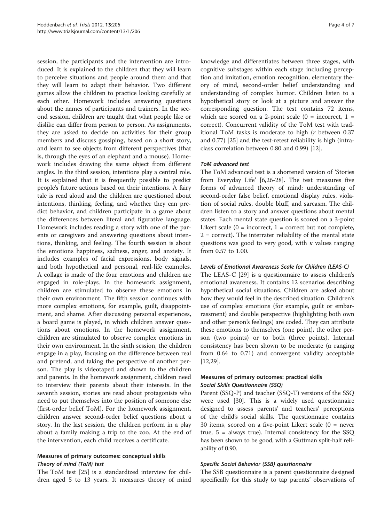session, the participants and the intervention are introduced. It is explained to the children that they will learn to perceive situations and people around them and that they will learn to adapt their behavior. Two different games allow the children to practice looking carefully at each other. Homework includes answering questions about the names of participants and trainers. In the second session, children are taught that what people like or dislike can differ from person to person. As assignments, they are asked to decide on activities for their group members and discuss gossiping, based on a short story, and learn to see objects from different perspectives (that is, through the eyes of an elephant and a mouse). Homework includes drawing the same object from different angles. In the third session, intentions play a central role. It is explained that it is frequently possible to predict people's future actions based on their intentions. A fairy tale is read aloud and the children are questioned about intentions, thinking, feeling, and whether they can predict behavior, and children participate in a game about the differences between literal and figurative language. Homework includes reading a story with one of the parents or caregivers and answering questions about intentions, thinking, and feeling. The fourth session is about the emotions happiness, sadness, anger, and anxiety. It includes examples of facial expressions, body signals, and both hypothetical and personal, real-life examples. A collage is made of the four emotions and children are engaged in role-plays. In the homework assignment, children are stimulated to observe these emotions in their own environment. The fifth session continues with more complex emotions, for example, guilt, disappointment, and shame. After discussing personal experiences, a board game is played, in which children answer questions about emotions. In the homework assignment, children are stimulated to observe complex emotions in their own environment. In the sixth session, the children engage in a play, focusing on the difference between real and pretend, and taking the perspective of another person. The play is videotaped and shown to the children and parents. In the homework assignment, children need to interview their parents about their interests. In the seventh session, stories are read about protagonists who need to put themselves into the position of someone else (first-order belief ToM). For the homework assignment, children answer second-order belief questions about a story. In the last session, the children perform in a play about a family making a trip to the zoo. At the end of the intervention, each child receives a certificate.

#### Measures of primary outcomes: conceptual skills Theory of mind (ToM) test

The ToM test [[25\]](#page-6-0) is a standardized interview for children aged 5 to 13 years. It measures theory of mind

knowledge and differentiates between three stages, with cognitive substages within each stage including perception and imitation, emotion recognition, elementary theory of mind, second-order belief understanding and understanding of complex humor. Children listen to a hypothetical story or look at a picture and answer the corresponding question. The test contains 72 items, which are scored on a 2-point scale  $(0 = incorrect, 1 =$ correct). Concurrent validity of the ToM test with traditional ToM tasks is moderate to high (r between 0.37 and 0.77) [[25\]](#page-6-0) and the test-retest reliability is high (intraclass correlation between 0.80 and 0.99) [[12\]](#page-5-0).

#### ToM advanced test

The ToM advanced test is a shortened version of 'Stories from Everyday Life' [[6,](#page-5-0)[26-28](#page-6-0)]. The test measures five forms of advanced theory of mind: understanding of second-order false belief, emotional display rules, violation of social rules, double bluff, and sarcasm. The children listen to a story and answer questions about mental states. Each mental state question is scored on a 3-point Likert scale  $(0 = incorrect, 1 = correct but not complete,$  $2 =$  correct). The interrater reliability of the mental state questions was good to very good, with  $\kappa$  values ranging from 0.57 to 1.00.

#### Levels of Emotional Awareness Scale for Children (LEAS-C)

The LEAS-C [[29](#page-6-0)] is a questionnaire to assess children's emotional awareness. It contains 12 scenarios describing hypothetical social situations. Children are asked about how they would feel in the described situation. Children's use of complex emotions (for example, guilt or embarrassment) and double perspective (highlighting both own and other person's feelings) are coded. They can attribute these emotions to themselves (one point), the other person (two points) or to both (three points). Internal consistency has been shown to be moderate (α ranging from 0.64 to 0.71) and convergent validity acceptable [[12,](#page-5-0)[29\]](#page-6-0).

## Measures of primary outcomes: practical skills Social Skills Questionnaire (SSQ)

Parent (SSQ-P) and teacher (SSQ-T) versions of the SSQ were used [\[30\]](#page-6-0). This is a widely used questionnaire designed to assess parents' and teachers' perceptions of the child's social skills. The questionnaire contains 30 items, scored on a five-point Likert scale (0 = never true,  $5 =$  always true). Internal consistency for the SSQ has been shown to be good, with a Guttman split-half reliability of 0.90.

#### Specific Social Behavior (SSB) questionnaire

The SSB questionnaire is a parent questionnaire designed specifically for this study to tap parents' observations of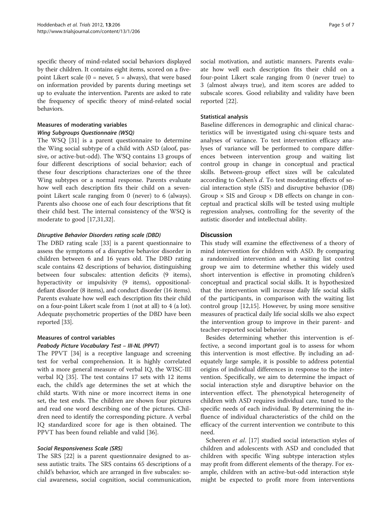specific theory of mind-related social behaviors displayed by their children. It contains eight items, scored on a fivepoint Likert scale  $(0 = never, 5 = always)$ , that were based on information provided by parents during meetings set up to evaluate the intervention. Parents are asked to rate the frequency of specific theory of mind-related social behaviors.

## Measures of moderating variables Wing Subgroups Questionnaire (WSQ)

The WSQ [[31\]](#page-6-0) is a parent questionnaire to determine the Wing social subtype of a child with ASD (aloof, passive, or active-but-odd). The WSQ contains 13 groups of four different descriptions of social behavior; each of these four descriptions characterizes one of the three Wing subtypes or a normal response. Parents evaluate how well each description fits their child on a sevenpoint Likert scale ranging from 0 (never) to 6 (always). Parents also choose one of each four descriptions that fit their child best. The internal consistency of the WSQ is moderate to good [[17](#page-5-0),[31](#page-6-0),[32](#page-6-0)].

#### Disruptive Behavior Disorders rating scale (DBD)

The DBD rating scale [\[33](#page-6-0)] is a parent questionnaire to assess the symptoms of a disruptive behavior disorder in children between 6 and 16 years old. The DBD rating scale contains 42 descriptions of behavior, distinguishing between four subscales: attention deficits (9 items), hyperactivity or impulsivity (9 items), oppositionaldefiant disorder (8 items), and conduct disorder (16 items). Parents evaluate how well each description fits their child on a four-point Likert scale from 1 (not at all) to 4 (a lot). Adequate psychometric properties of the DBD have been reported [[33](#page-6-0)].

## Measures of control variables

#### Peabody Picture Vocabulary Test – III-NL (PPVT)

The PPVT [[34](#page-6-0)] is a receptive language and screening test for verbal comprehension. It is highly correlated with a more general measure of verbal IQ, the WISC-III verbal IQ [\[35](#page-6-0)]. The test contains 17 sets with 12 items each, the child's age determines the set at which the child starts. With nine or more incorrect items in one set, the test ends. The children are shown four pictures and read one word describing one of the pictures. Children need to identify the corresponding picture. A verbal IQ standardized score for age is then obtained. The PPVT has been found reliable and valid [[36\]](#page-6-0).

#### Social Responsiveness Scale (SRS)

The SRS [\[22](#page-6-0)] is a parent questionnaire designed to assess autistic traits. The SRS contains 65 descriptions of a child's behavior, which are arranged in five subscales: social awareness, social cognition, social communication,

social motivation, and autistic manners. Parents evaluate how well each description fits their child on a four-point Likert scale ranging from 0 (never true) to 3 (almost always true), and item scores are added to subscale scores. Good reliability and validity have been reported [[22](#page-6-0)].

#### Statistical analysis

Baseline differences in demographic and clinical characteristics will be investigated using chi-square tests and analyses of variance. To test intervention efficacy analyses of variance will be performed to compare differences between intervention group and waiting list control group in change in conceptual and practical skills. Between-group effect sizes will be calculated according to Cohen's d. To test moderating effects of social interaction style (SIS) and disruptive behavior (DB) Group  $\times$  SIS and Group  $\times$  DB effects on change in conceptual and practical skills will be tested using multiple regression analyses, controlling for the severity of the autistic disorder and intellectual ability.

## **Discussion**

This study will examine the effectiveness of a theory of mind intervention for children with ASD. By comparing a randomized intervention and a waiting list control group we aim to determine whether this widely used short intervention is effective in promoting children's conceptual and practical social skills. It is hypothesized that the intervention will increase daily life social skills of the participants, in comparison with the waiting list control group [\[12,15](#page-5-0)]. However, by using more sensitive measures of practical daily life social skills we also expect the intervention group to improve in their parent- and teacher-reported social behavior.

Besides determining whether this intervention is effective, a second important goal is to assess for whom this intervention is most effective. By including an adequately large sample, it is possible to address potential origins of individual differences in response to the intervention. Specifically, we aim to determine the impact of social interaction style and disruptive behavior on the intervention effect. The phenotypical heterogeneity of children with ASD requires individual care, tuned to the specific needs of each individual. By determining the influence of individual characteristics of the child on the efficacy of the current intervention we contribute to this need.

Scheeren et al. [\[17\]](#page-5-0) studied social interaction styles of children and adolescents with ASD and concluded that children with specific Wing subtype interaction styles may profit from different elements of the therapy. For example, children with an active-but-odd interaction style might be expected to profit more from interventions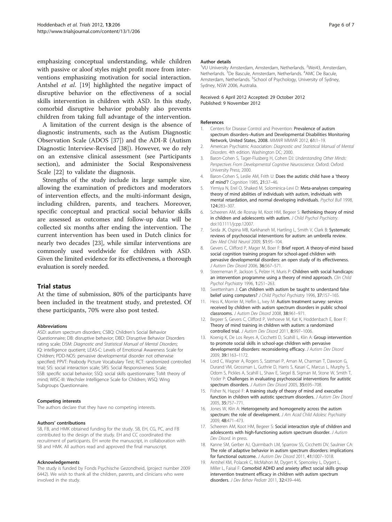<span id="page-5-0"></span>emphasizing conceptual understanding, while children with passive or aloof styles might profit more from interventions emphasizing motivation for social interaction. Antshel et al. [19] highlighted the negative impact of disruptive behavior on the effectiveness of a social skills intervention in children with ASD. In this study, comorbid disruptive behavior probably also prevents children from taking full advantage of the intervention.

A limitation of the current design is the absence of diagnostic instruments, such as the Autism Diagnostic Observation Scale (ADOS [[37\]](#page-6-0)) and the ADI-R (Autism Diagnostic Interview-Revised [\[38](#page-6-0)]). However, we do rely on an extensive clinical assessment (see Participants section), and administer the Social Responsiveness Scale [[22](#page-6-0)] to validate the diagnosis.

Strengths of the study include its large sample size, allowing the examination of predictors and moderators of intervention effects, and the multi-informant design, including children, parents, and teachers. Moreover, specific conceptual and practical social behavior skills are assessed as outcomes and follow-up data will be collected six months after ending the intervention. The current intervention has been used in Dutch clinics for nearly two decades [[23\]](#page-6-0), while similar interventions are commonly used worldwide for children with ASD. Given the limited evidence for its effectiveness, a thorough evaluation is sorely needed.

#### Trial status

At the time of submission, 80% of the participants have been included in the treatment study, and pretested. Of these participants, 70% were also post tested.

#### Abbreviations

ASD: autism spectrum disorders; CSBQ: Children's Social Behavior Questionnaire; DB: disruptive behavior; DBD: Disruptive Behavior Disorders rating scale; DSM: Diagnostic and Statistical Manual of Mental Disorders; IQ: intelligence quotient; LEAS-C: Levels of Emotional Awareness Scale for Children; PDD-NOS: pervasive developmental disorder not otherwise specified; PPVT: Peabody Picture Vocabulary Test; RCT: randomized controlled trial; SIS: social interaction scale; SRS: Social Responsiveness Scale; SSB: specific social behavior; SSQ: social skills questionnaire; ToM: theory of mind; WISC-III: Wechsler Intelligence Scale for Children; WSQ: Wing Subgroups Questionnaire.

#### Competing interests

The authors declare that they have no competing interests.

#### Authors' contributions

SB, FB, and HMK obtained funding for the study. SB, EH, CG, PC, and FB contributed to the design of the study. EH and CC coordinated the recruitment of participants. EH wrote the manuscript, in collaboration with SB and HMK. All authors read and approved the final manuscript.

#### Acknowledgements

The study is funded by Fonds Psychische Gezondheid, (project number 2009 6442). We wish to thank all the children, parents, and clinicians who were involved in the study.

#### Author details

<sup>1</sup>VU University Amsterdam, Amsterdam, Netherlands. <sup>2</sup>Wei43, Amsterdam Netherlands. <sup>3</sup>De Bascule, Amsterdam, Netherlands. <sup>4</sup>AMC De Bacule, Amsterdam, Netherlands. <sup>5</sup>School of Psychology, University of Sydney Sydney, NSW 2006, Australia.

Received: 6 April 2012 Accepted: 29 October 2012 Published: 9 November 2012

#### References

- 1. Centers for Disease Control and Prevention: Prevalence of autism spectrum disorders–Autism and Developmental Disabilities Monitoring Network, United States, 2008. MMWR MMWR 2012, 61:1–19.
- 2. American Psychiatric Association: Diagnostic and Statistical Manual of Mental Disorders. 4th edition. Washington DC; 2000.
- 3. Baron-Cohen S, Tager-Flusberg H, Cohen DJ: Understanding Other Minds: Perspectives From Developmental Cognitive Neuroscience. Oxford: Oxford University Press; 2000.
- 4. Baron-Cohen S, Leslie AM, Frith U: Does the autistic child have a 'theory of mind'? Cognition 1985, 21:37–46.
- 5. Yirmiya N, Erel O, Shaked M, Solominica-Levi D: Meta-analyses comparing theory of mind abilities of individuals with autism, individuals with mental retardation, and normal developing individuals. Psychol Bull 1998,  $124.283 - 307$
- 6. Scheeren AM, de Rosnay M, Koot HM, Begeer S: Rethinking theory of mind in children and adolescents with autism. J Child Psychol Psychiatry. doi[:10.1111/jcpp.12007.](http://dx.doi.org/10.1111/jcpp.12007)
- 7. Seida JK, Ospina MB, Karkhaneh M, Hartling L, Smith V, Clark B: Systematic reviews of psychosocial interventions for autism: an umbrella review. Dev Med Child Neurol 2009, 51:95–104.
- 8. Gevers C, Clifford P, Mager M, Boer F: Brief report. A theory-of-mind based social cognition training program for school-aged children with pervasive developmental disorders: an open study of its effectiveness. J Autism Dev Disord 2006, 36:567–571.
- 9. Steerneman P, Jackson S, Pelzer H, Muris P: Children with social handicaps: an intervention programme using a theory of mind approach. Clin Child Psychol Psychiatry 1996, 1:251–263.
- 10. Swettenham J: Can children with autism be taught to understand false belief using computers? J Child Psychol Psychiatry 1996, 37:157-165.
- 11. Hess K, Morrier M, Heflin L, Ivey M: Autism treatment survey: services received by children with autism spectrum disorders in public school classrooms. J Autism Dev Disord 2008, 38:961–971.
- 12. Begeer S, Gevers C, Clifford P, Verhoeve M, Kat K, Hoddenbach E, Boer F: Theory of mind training in children with autism: a randomized controlled trial. J Autism Dev Disord 2011, 8:997–1006.
- 13. Koenig K, De Los Reyes A, Cicchetti D, Scahill L, Klin A: Group intervention to promote social skills in school-age children with pervasive developmental disorders: reconsidering efficacy. J Autism Dev Disord 2009, 39:1163–1172.
- 14. Lord C, Wagner A, Rogers S, Szatmari P, Aman M, Charman T, Dawson G, Durand VM, Grossman L, Guthrie D, Harris S, Kasari C, Marcus L, Murphy S, Odom S, Pickles A, Scahill L, Shaw E, Siegel B, Sigman M, Stone W, Smith T, Yoder P: Challenges in evaluating psychosocial interventions for autistic spectrum disorders. J Autism Dev Disord 2005, 35:695–708.
- 15. Fisher N, Happé F: A training study of theory of mind and executive function in children with autistic spectrum disorders. J Autism Dev Disord 2005, 35:757–771.
- 16. Jones W, Klin A: Heterogeneity and homogeneity across the autism spectrum: the role of development. J Am Acad Child Adolesc Psychiatry 2009, 48:471–473.
- 17. Scheeren AM, Koot HM, Begeer S: Social interaction style of children and adolescents with high-functioning autism spectrum disorder. J Autism Dev Disord. in press.
- 18. Kanne SM, Gerber AJ, Quirmbach LM, Sparrow SS, Cicchetti DV, Saulnier CA: The role of adaptive behavior in autism spectrum disorders: implications for functional outcome. J Autism Dev Disord 2011, 41:1007–1018.
- 19. Antshel KM, Polacek C, McMahon M, Dygert K, Spenceley L, Dygert L, Miller L, Faisal F: Comorbid ADHD and anxiety affect social skills group intervention treatment efficacy in children with autism spectrum disorders. J Dev Behav Pediatr 2011, 32:439-446.